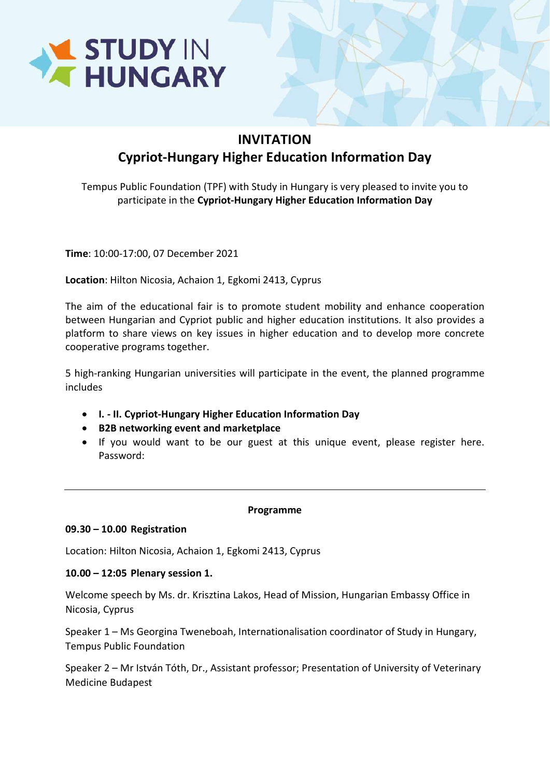

# INVITATION Cypriot-Hungary Higher Education Information Day

Tempus Public Foundation (TPF) with Study in Hungary is very pleased to invite you to participate in the Cypriot-Hungary Higher Education Information Day

Time: 10:00-17:00, 07 December 2021

Location: Hilton Nicosia, Achaion 1, Egkomi 2413, Cyprus

The aim of the educational fair is to promote student mobility and enhance cooperation between Hungarian and Cypriot public and higher education institutions. It also provides a platform to share views on key issues in higher education and to develop more concrete cooperative programs together.

5 high-ranking Hungarian universities will participate in the event, the planned programme includes

- I. II. Cypriot-Hungary Higher Education Information Day
- B2B networking event and marketplace
- If you would want to be our guest at this unique event, please register here. Password:

## Programme

#### 09.30 – 10.00 Registration

Location: Hilton Nicosia, Achaion 1, Egkomi 2413, Cyprus

## 10.00 – 12:05 Plenary session 1.

Welcome speech by Ms. dr. Krisztina Lakos, Head of Mission, Hungarian Embassy Office in Nicosia, Cyprus

Speaker 1 – Ms Georgina Tweneboah, Internationalisation coordinator of Study in Hungary, Tempus Public Foundation

Speaker 2 – Mr István Tóth, Dr., Assistant professor; Presentation of University of Veterinary Medicine Budapest